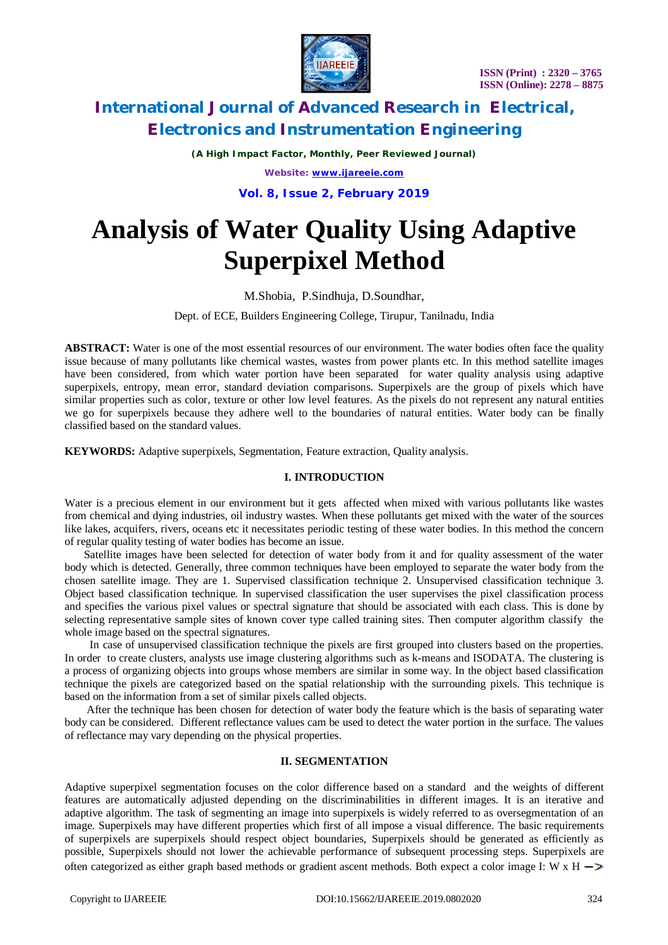

*(A High Impact Factor, Monthly, Peer Reviewed Journal) Website: [www.ijareeie.com](http://www.ijareeie.com)*

**Vol. 8, Issue 2, February 2019**

# **Analysis of Water Quality Using Adaptive Superpixel Method**

### M.Shobia, P.Sindhuja, D.Soundhar,

Dept. of ECE, Builders Engineering College, Tirupur, Tanilnadu, India

**ABSTRACT:** Water is one of the most essential resources of our environment. The water bodies often face the quality issue because of many pollutants like chemical wastes, wastes from power plants etc. In this method satellite images have been considered, from which water portion have been separated for water quality analysis using adaptive superpixels, entropy, mean error, standard deviation comparisons. Superpixels are the group of pixels which have similar properties such as color, texture or other low level features. As the pixels do not represent any natural entities we go for superpixels because they adhere well to the boundaries of natural entities. Water body can be finally classified based on the standard values.

**KEYWORDS:** Adaptive superpixels, Segmentation, Feature extraction, Quality analysis.

### **I. INTRODUCTION**

Water is a precious element in our environment but it gets affected when mixed with various pollutants like wastes from chemical and dying industries, oil industry wastes. When these pollutants get mixed with the water of the sources like lakes, acquifers, rivers, oceans etc it necessitates periodic testing of these water bodies. In this method the concern of regular quality testing of water bodies has become an issue.

 Satellite images have been selected for detection of water body from it and for quality assessment of the water body which is detected. Generally, three common techniques have been employed to separate the water body from the chosen satellite image. They are 1. Supervised classification technique 2. Unsupervised classification technique 3. Object based classification technique. In supervised classification the user supervises the pixel classification process and specifies the various pixel values or spectral signature that should be associated with each class. This is done by selecting representative sample sites of known cover type called training sites. Then computer algorithm classify the whole image based on the spectral signatures.

 In case of unsupervised classification technique the pixels are first grouped into clusters based on the properties. In order to create clusters, analysts use image clustering algorithms such as k-means and ISODATA. The clustering is a process of organizing objects into groups whose members are similar in some way. In the object based classification technique the pixels are categorized based on the spatial relationship with the surrounding pixels. This technique is based on the information from a set of similar pixels called objects.

 After the technique has been chosen for detection of water body the feature which is the basis of separating water body can be considered. Different reflectance values cam be used to detect the water portion in the surface. The values of reflectance may vary depending on the physical properties.

### **II. SEGMENTATION**

Adaptive superpixel segmentation focuses on the color difference based on a standard and the weights of different features are automatically adjusted depending on the discriminabilities in different images. It is an iterative and adaptive algorithm. The task of segmenting an image into superpixels is widely referred to as oversegmentation of an image. Superpixels may have different properties which first of all impose a visual difference. The basic requirements of superpixels are superpixels should respect object boundaries, Superpixels should be generated as efficiently as possible, Superpixels should not lower the achievable performance of subsequent processing steps. Superpixels are often categorized as either graph based methods or gradient ascent methods. Both expect a color image I: W x H  $\rightarrow$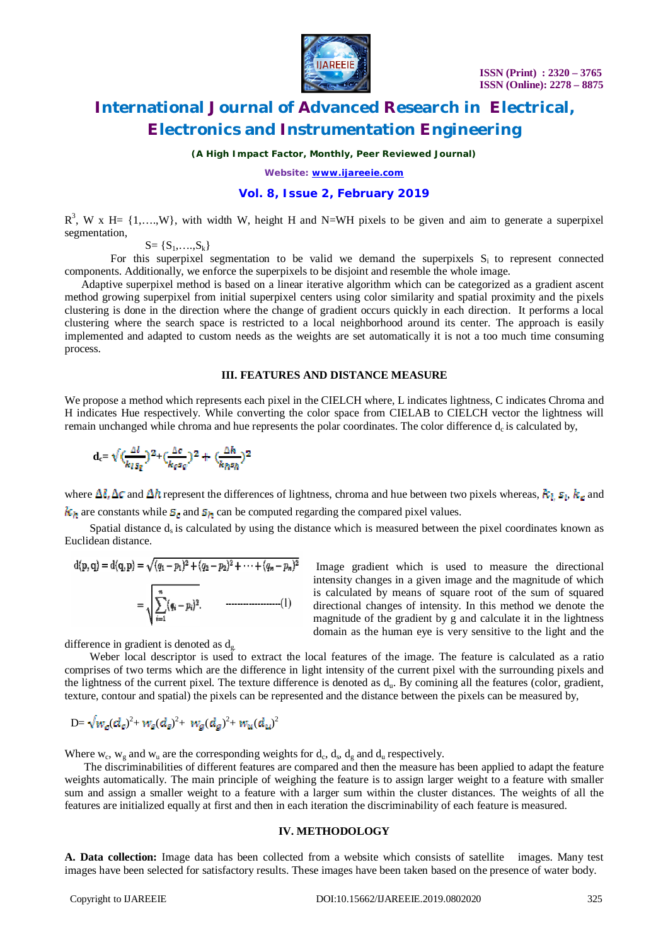

*(A High Impact Factor, Monthly, Peer Reviewed Journal)*

*Website: [www.ijareeie.com](http://www.ijareeie.com)*

### **Vol. 8, Issue 2, February 2019**

 $R^3$ , W x H= {1,...,W}, with width W, height H and N=WH pixels to be given and aim to generate a superpixel segmentation,

 $S = \{S_1, \ldots, S_k\}$ 

For this superpixel segmentation to be valid we demand the superpixels  $S_i$  to represent connected components. Additionally, we enforce the superpixels to be disjoint and resemble the whole image.

 Adaptive superpixel method is based on a linear iterative algorithm which can be categorized as a gradient ascent method growing superpixel from initial superpixel centers using color similarity and spatial proximity and the pixels clustering is done in the direction where the change of gradient occurs quickly in each direction. It performs a local clustering where the search space is restricted to a local neighborhood around its center. The approach is easily implemented and adapted to custom needs as the weights are set automatically it is not a too much time consuming process.

#### **III. FEATURES AND DISTANCE MEASURE**

We propose a method which represents each pixel in the CIELCH where, L indicates lightness, C indicates Chroma and H indicates Hue respectively. While converting the color space from CIELAB to CIELCH vector the lightness will remain unchanged while chroma and hue represents the polar coordinates. The color difference  $d_c$  is calculated by,

$$
\mathrm{d}_{\mathrm{c}}\text{=}\sqrt{\big(\frac{\Delta l}{k_l s_l}\big)^2\text{+}\big(\frac{\Delta c}{k_l s_l}\big)^2\text{+}\big(\frac{\Delta h}{k_h s_h}\big)^2}
$$

where  $\Delta \ell$ ,  $\Delta \tau$  and  $\Delta \ell$  represent the differences of lightness, chroma and hue between two pixels whereas,  $k_L s_l$ ,  $k_c$  and  $k_a$  are constants while  $\mathcal{S}_a$  and  $\mathcal{S}_b$  can be computed regarding the compared pixel values.

Spatial distance  $d<sub>s</sub>$  is calculated by using the distance which is measured between the pixel coordinates known as Euclidean distance.

d(p,q) = d(q,p) = 
$$
\sqrt{(q_1 - p_1)^2 + (q_2 - p_2)^2 + \cdots + (q_n - p_n)^2}
$$
  
=  $\sqrt{\sum_{i=1}^{n} (q_i - p_i)^2}$ . (1)

Image gradient which is used to measure the directional intensity changes in a given image and the magnitude of which is calculated by means of square root of the sum of squared directional changes of intensity. In this method we denote the magnitude of the gradient by g and calculate it in the lightness domain as the human eye is very sensitive to the light and the

difference in gradient is denoted as  $d_{g}$ .

 Weber local descriptor is used to extract the local features of the image. The feature is calculated as a ratio comprises of two terms which are the difference in light intensity of the current pixel with the surrounding pixels and the lightness of the current pixel. The texture difference is denoted as  $d<sub>u</sub>$ . By comining all the features (color, gradient, texture, contour and spatial) the pixels can be represented and the distance between the pixels can be measured by,

$$
D = \sqrt{w_c(d_c)^2 + w_s(d_s)^2 + w_g(d_g)^2 + w_u(d_u)^2}
$$

Where  $w_c$ ,  $w_g$  and  $w_u$  are the corresponding weights for  $d_c$ ,  $d_s$ ,  $d_g$  and  $d_u$  respectively.

 The discriminabilities of different features are compared and then the measure has been applied to adapt the feature weights automatically. The main principle of weighing the feature is to assign larger weight to a feature with smaller sum and assign a smaller weight to a feature with a larger sum within the cluster distances. The weights of all the features are initialized equally at first and then in each iteration the discriminability of each feature is measured.

#### **IV. METHODOLOGY**

**A. Data collection:** Image data has been collected from a website which consists of satellite images. Many test images have been selected for satisfactory results. These images have been taken based on the presence of water body.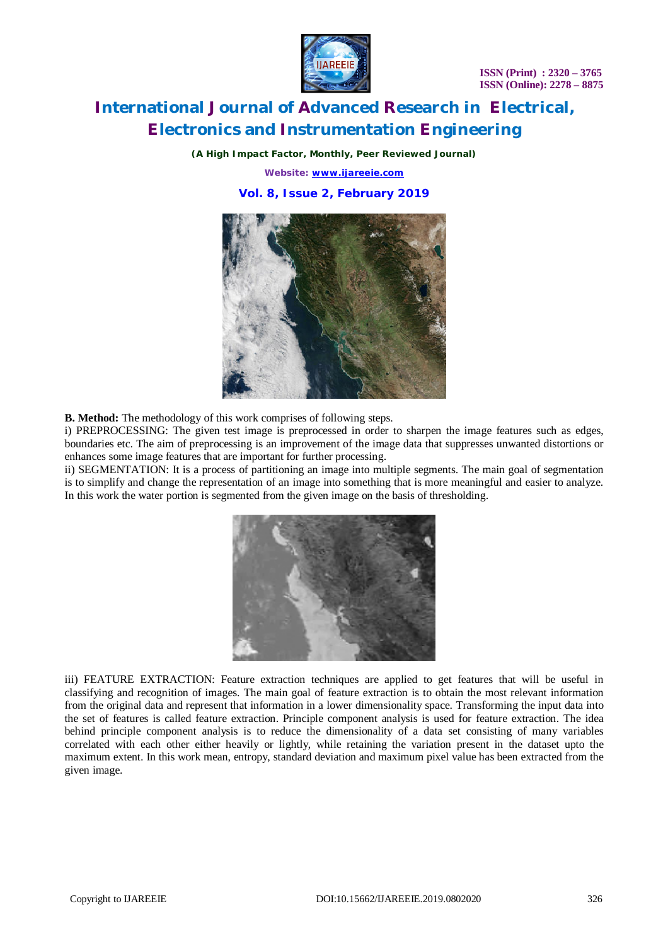**ISSN (Print) : 2320 – 3765 ISSN (Online): 2278 – 8875**



### **International Journal of Advanced Research in Electrical, Electronics and Instrumentation Engineering**

*(A High Impact Factor, Monthly, Peer Reviewed Journal) Website: [www.ijareeie.com](http://www.ijareeie.com)* **Vol. 8, Issue 2, February 2019**



**B. Method:** The methodology of this work comprises of following steps.

i) PREPROCESSING: The given test image is preprocessed in order to sharpen the image features such as edges, boundaries etc. The aim of preprocessing is an improvement of the image data that suppresses unwanted distortions or enhances some image features that are important for further processing.

ii) SEGMENTATION: It is a process of partitioning an image into multiple segments. The main goal of segmentation is to simplify and change the representation of an image into something that is more meaningful and easier to analyze. In this work the water portion is segmented from the given image on the basis of thresholding.



iii) FEATURE EXTRACTION: Feature extraction techniques are applied to get features that will be useful in classifying and recognition of images. The main goal of feature extraction is to obtain the most relevant information from the original data and represent that information in a lower dimensionality space. Transforming the input data into the set of features is called feature extraction. Principle component analysis is used for feature extraction. The idea behind principle component analysis is to reduce the dimensionality of a data set consisting of many variables correlated with each other either heavily or lightly, while retaining the variation present in the dataset upto the maximum extent. In this work mean, entropy, standard deviation and maximum pixel value has been extracted from the given image.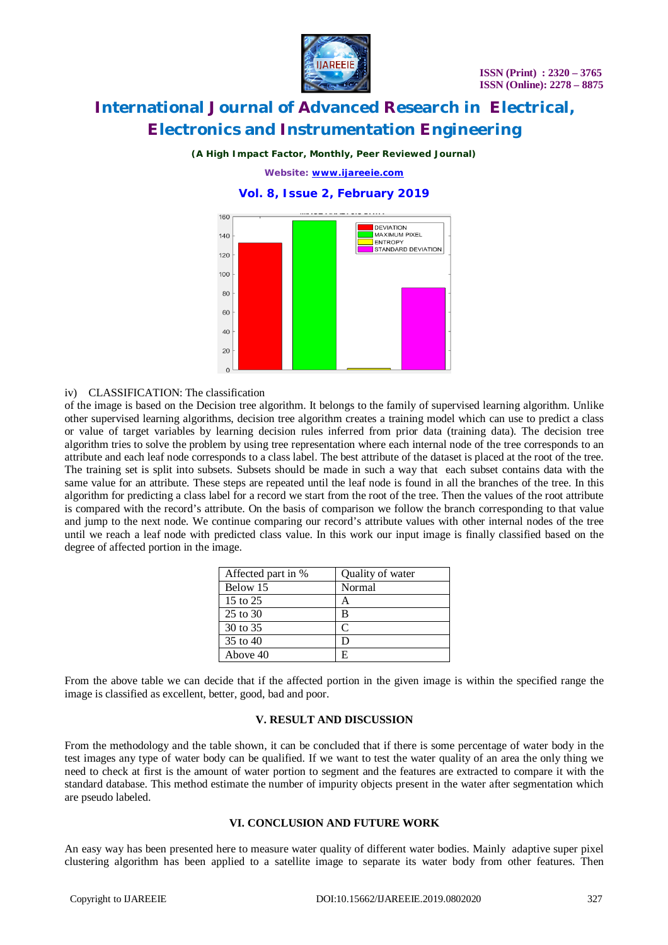

### *(A High Impact Factor, Monthly, Peer Reviewed Journal)*

*Website: [www.ijareeie.com](http://www.ijareeie.com)*

### **Vol. 8, Issue 2, February 2019**



### iv) CLASSIFICATION: The classification

of the image is based on the Decision tree algorithm. It belongs to the family of supervised learning algorithm. Unlike other supervised learning algorithms, decision tree algorithm creates a training model which can use to predict a class or value of target variables by learning decision rules inferred from prior data (training data). The decision tree algorithm tries to solve the problem by using tree representation where each internal node of the tree corresponds to an attribute and each leaf node corresponds to a class label. The best attribute of the dataset is placed at the root of the tree. The training set is split into subsets. Subsets should be made in such a way that each subset contains data with the same value for an attribute. These steps are repeated until the leaf node is found in all the branches of the tree. In this algorithm for predicting a class label for a record we start from the root of the tree. Then the values of the root attribute is compared with the record's attribute. On the basis of comparison we follow the branch corresponding to that value and jump to the next node. We continue comparing our record's attribute values with other internal nodes of the tree until we reach a leaf node with predicted class value. In this work our input image is finally classified based on the degree of affected portion in the image.

| Affected part in % | Quality of water |
|--------------------|------------------|
| Below 15           | Normal           |
| 15 to 25           |                  |
| 25 to 30           | В                |
| 30 to 35           | ⌒                |
| 35 to 40           |                  |
| Above 40           | F                |

From the above table we can decide that if the affected portion in the given image is within the specified range the image is classified as excellent, better, good, bad and poor.

#### **V. RESULT AND DISCUSSION**

From the methodology and the table shown, it can be concluded that if there is some percentage of water body in the test images any type of water body can be qualified. If we want to test the water quality of an area the only thing we need to check at first is the amount of water portion to segment and the features are extracted to compare it with the standard database. This method estimate the number of impurity objects present in the water after segmentation which are pseudo labeled.

#### **VI. CONCLUSION AND FUTURE WORK**

An easy way has been presented here to measure water quality of different water bodies. Mainly adaptive super pixel clustering algorithm has been applied to a satellite image to separate its water body from other features. Then